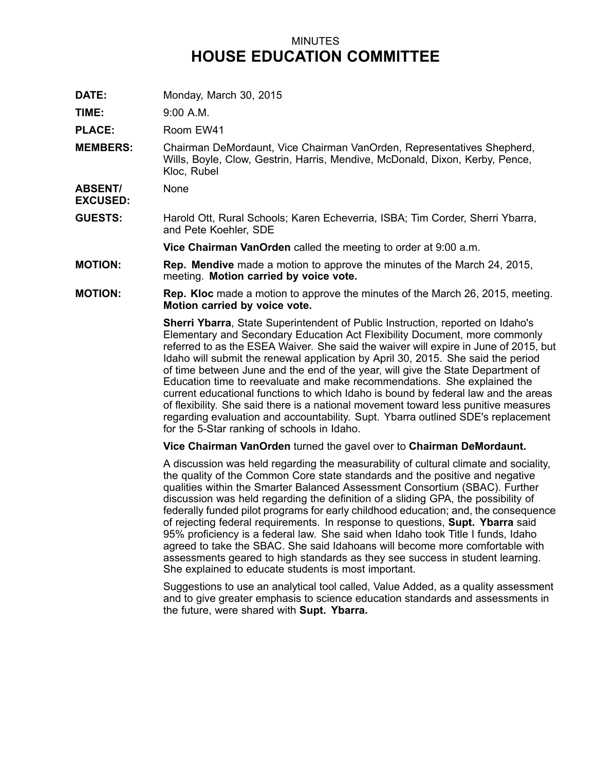## MINUTES **HOUSE EDUCATION COMMITTEE**

**DATE:** Monday, March 30, 2015

**TIME:** 9:00 A.M.

**PLACE:** Room EW41

**MEMBERS:** Chairman DeMordaunt, Vice Chairman VanOrden, Representatives Shepherd, Wills, Boyle, Clow, Gestrin, Harris, Mendive, McDonald, Dixon, Kerby, Pence, Kloc, Rubel

**ABSENT/ EXCUSED:** None

**GUESTS:** Harold Ott, Rural Schools; Karen Echeverria, ISBA; Tim Corder, Sherri Ybarra, and Pete Koehler, SDE

**Vice Chairman VanOrden** called the meeting to order at 9:00 a.m.

- **MOTION: Rep. Mendive** made <sup>a</sup> motion to approve the minutes of the March 24, 2015, meeting. **Motion carried by voice vote.**
- **MOTION: Rep. Kloc** made <sup>a</sup> motion to approve the minutes of the March 26, 2015, meeting. **Motion carried by voice vote.**

**Sherri Ybarra**, State Superintendent of Public Instruction, reported on Idaho's Elementary and Secondary Education Act Flexibility Document, more commonly referred to as the ESEA Waiver. She said the waiver will expire in June of 2015, but Idaho will submit the renewal application by April 30, 2015. She said the period of time between June and the end of the year, will give the State Department of Education time to reevaluate and make recommendations. She explained the current educational functions to which Idaho is bound by federal law and the areas of flexibility. She said there is <sup>a</sup> national movement toward less punitive measures regarding evaluation and accountability. Supt. Ybarra outlined SDE's replacement for the 5-Star ranking of schools in Idaho.

**Vice Chairman VanOrden** turned the gavel over to **Chairman DeMordaunt.**

A discussion was held regarding the measurability of cultural climate and sociality, the quality of the Common Core state standards and the positive and negative qualities within the Smarter Balanced Assessment Consortium (SBAC). Further discussion was held regarding the definition of <sup>a</sup> sliding GPA, the possibility of federally funded pilot programs for early childhood education; and, the consequence of rejecting federal requirements. In response to questions, **Supt. Ybarra** said 95% proficiency is <sup>a</sup> federal law. She said when Idaho took Title I funds, Idaho agreed to take the SBAC. She said Idahoans will become more comfortable with assessments geared to high standards as they see success in student learning. She explained to educate students is most important.

Suggestions to use an analytical tool called, Value Added, as <sup>a</sup> quality assessment and to give greater emphasis to science education standards and assessments in the future, were shared with **Supt. Ybarra.**